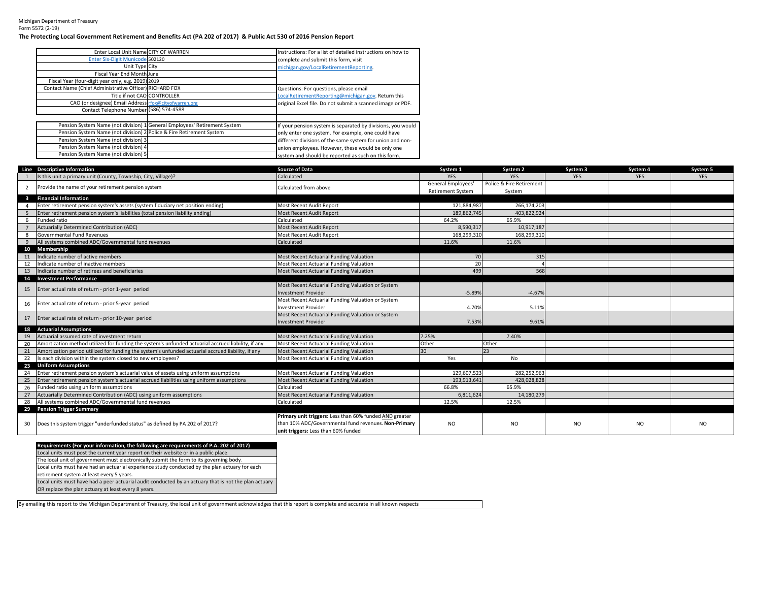## Michigan Department of TreasuryForm 5572 (2-19)

## **The Protecting Local Government Retirement and Benefits Act (PA 202 of 2017) & Public Act 530 of 2016 Pension Report**

| Enter Local Unit Name CITY OF WARREN                                 |                                                                           | Instructions: For a list of detailed instructions on how to |
|----------------------------------------------------------------------|---------------------------------------------------------------------------|-------------------------------------------------------------|
| Enter Six-Digit Municode 502120                                      |                                                                           | complete and submit this form, visit                        |
| Unit Type City                                                       |                                                                           | michigan.gov/LocalRetirementReporting.                      |
| Fiscal Year End Month June                                           |                                                                           |                                                             |
| Fiscal Year (four-digit year only, e.g. 2019) 2019                   |                                                                           |                                                             |
| Contact Name (Chief Administrative Officer) RICHARD FOX              |                                                                           | Questions: For questions, please email                      |
| Title if not CAO CONTROLLER                                          |                                                                           | LocalRetirementReporting@michigan.gov. Return this          |
| CAO (or designee) Email Address rfox@cityofwarren.org                |                                                                           | original Excel file. Do not submit a scanned image or PDF.  |
| Contact Telephone Number (586) 574-4588                              |                                                                           |                                                             |
|                                                                      |                                                                           |                                                             |
|                                                                      | Pension System Name (not division) 1 General Employees' Retirement System | If your pension system is separated by divisions, you would |
| Pension System Name (not division) 2 Police & Fire Retirement System |                                                                           | only enter one system. For example, one could have          |
| Pension System Name (not division) 3                                 |                                                                           | different divisions of the same system for union and non-   |
| Pension System Name (not division) 4                                 |                                                                           | union employees. However, these would be only one           |
| Pension System Name (not division) 5                                 |                                                                           | system and should be reported as such on this form.         |

| Is this unit a primary unit (County, Township, City, Village)?<br>Calculated<br><b>YES</b><br><b>YFS</b><br><b>YFS</b><br><b>YES</b><br>Police & Fire Retirement<br>General Employees'<br>Provide the name of your retirement pension system<br>Calculated from above<br>2<br><b>Retirement System</b><br>System<br><b>Financial Information</b><br>$\mathbf{3}$<br>Enter retirement pension system's assets (system fiduciary net position ending)<br><b>Most Recent Audit Report</b><br>121.884.987<br>266.174.203<br>189,862,745<br>403,822,924<br>Enter retirement pension system's liabilities (total pension liability ending)<br>Most Recent Audit Report<br>- 5 | <b>YES</b>     |
|-------------------------------------------------------------------------------------------------------------------------------------------------------------------------------------------------------------------------------------------------------------------------------------------------------------------------------------------------------------------------------------------------------------------------------------------------------------------------------------------------------------------------------------------------------------------------------------------------------------------------------------------------------------------------|----------------|
|                                                                                                                                                                                                                                                                                                                                                                                                                                                                                                                                                                                                                                                                         |                |
|                                                                                                                                                                                                                                                                                                                                                                                                                                                                                                                                                                                                                                                                         |                |
|                                                                                                                                                                                                                                                                                                                                                                                                                                                                                                                                                                                                                                                                         |                |
|                                                                                                                                                                                                                                                                                                                                                                                                                                                                                                                                                                                                                                                                         |                |
|                                                                                                                                                                                                                                                                                                                                                                                                                                                                                                                                                                                                                                                                         |                |
|                                                                                                                                                                                                                                                                                                                                                                                                                                                                                                                                                                                                                                                                         |                |
| 64.2%<br>65.9%<br>Funded ratio<br>Calculated<br>6                                                                                                                                                                                                                                                                                                                                                                                                                                                                                                                                                                                                                       |                |
| Actuarially Determined Contribution (ADC)<br>8,590,317<br><b>Most Recent Audit Report</b><br>10,917,187                                                                                                                                                                                                                                                                                                                                                                                                                                                                                                                                                                 |                |
| Governmental Fund Revenues<br>Most Recent Audit Report<br>168,299,310<br>168,299,310<br>-8                                                                                                                                                                                                                                                                                                                                                                                                                                                                                                                                                                              |                |
| All systems combined ADC/Governmental fund revenues<br>Calculated<br>11.6%<br>11.6%<br>9                                                                                                                                                                                                                                                                                                                                                                                                                                                                                                                                                                                |                |
| <b>Membership</b><br>10                                                                                                                                                                                                                                                                                                                                                                                                                                                                                                                                                                                                                                                 |                |
| Indicate number of active members<br>70<br>315<br>Most Recent Actuarial Funding Valuation<br>11                                                                                                                                                                                                                                                                                                                                                                                                                                                                                                                                                                         |                |
| 20<br>12<br>Indicate number of inactive members<br>Most Recent Actuarial Funding Valuation                                                                                                                                                                                                                                                                                                                                                                                                                                                                                                                                                                              |                |
| 499<br>Indicate number of retirees and beneficiaries<br>568<br>13<br>Most Recent Actuarial Funding Valuation                                                                                                                                                                                                                                                                                                                                                                                                                                                                                                                                                            |                |
| 14 Investment Performance                                                                                                                                                                                                                                                                                                                                                                                                                                                                                                                                                                                                                                               |                |
| Most Recent Actuarial Funding Valuation or System<br>Enter actual rate of return - prior 1-year period<br>15                                                                                                                                                                                                                                                                                                                                                                                                                                                                                                                                                            |                |
| <b>Investment Provider</b><br>$-5.89%$<br>$-4.67%$                                                                                                                                                                                                                                                                                                                                                                                                                                                                                                                                                                                                                      |                |
| Most Recent Actuarial Funding Valuation or System<br>Enter actual rate of return - prior 5-year period<br>16                                                                                                                                                                                                                                                                                                                                                                                                                                                                                                                                                            |                |
| 4.70%<br><b>Investment Provider</b><br>5.11%                                                                                                                                                                                                                                                                                                                                                                                                                                                                                                                                                                                                                            |                |
| Most Recent Actuarial Funding Valuation or System<br>Enter actual rate of return - prior 10-year period<br>17                                                                                                                                                                                                                                                                                                                                                                                                                                                                                                                                                           |                |
| 7.53%<br><b>Investment Provider</b><br>9.61%                                                                                                                                                                                                                                                                                                                                                                                                                                                                                                                                                                                                                            |                |
| <b>Actuarial Assumptions</b><br>18                                                                                                                                                                                                                                                                                                                                                                                                                                                                                                                                                                                                                                      |                |
| Actuarial assumed rate of investment return<br>7.25%<br>Most Recent Actuarial Funding Valuation<br>7.40%<br>19                                                                                                                                                                                                                                                                                                                                                                                                                                                                                                                                                          |                |
| 20<br>Amortization method utilized for funding the system's unfunded actuarial accrued liability, if any<br>Most Recent Actuarial Funding Valuation<br>Other<br>Other                                                                                                                                                                                                                                                                                                                                                                                                                                                                                                   |                |
| 23<br>Amortization period utilized for funding the system's unfunded actuarial accrued liability, if any<br>Most Recent Actuarial Funding Valuation<br>30<br>21                                                                                                                                                                                                                                                                                                                                                                                                                                                                                                         |                |
| 22<br>Is each division within the system closed to new employees?<br>Most Recent Actuarial Funding Valuation<br>Yes<br>No                                                                                                                                                                                                                                                                                                                                                                                                                                                                                                                                               |                |
| <b>Uniform Assumptions</b><br>23                                                                                                                                                                                                                                                                                                                                                                                                                                                                                                                                                                                                                                        |                |
| Enter retirement pension system's actuarial value of assets using uniform assumptions<br>Most Recent Actuarial Funding Valuation<br>129,607,523<br>282.252.963<br>24                                                                                                                                                                                                                                                                                                                                                                                                                                                                                                    |                |
| 25<br>Enter retirement pension system's actuarial accrued liabilities using uniform assumptions<br>Most Recent Actuarial Funding Valuation<br>193,913,641<br>428,028,828                                                                                                                                                                                                                                                                                                                                                                                                                                                                                                |                |
| 26<br>Funded ratio using uniform assumptions<br>Calculated<br>66.8%<br>65.9%                                                                                                                                                                                                                                                                                                                                                                                                                                                                                                                                                                                            |                |
| Actuarially Determined Contribution (ADC) using uniform assumptions<br>Most Recent Actuarial Funding Valuation<br>6,811,624<br>27<br>14,180,279                                                                                                                                                                                                                                                                                                                                                                                                                                                                                                                         |                |
| All systems combined ADC/Governmental fund revenues<br>28<br>12.5%<br>12.5%<br>Calculated                                                                                                                                                                                                                                                                                                                                                                                                                                                                                                                                                                               |                |
| 29 Pension Trigger Summary                                                                                                                                                                                                                                                                                                                                                                                                                                                                                                                                                                                                                                              |                |
| Primary unit triggers: Less than 60% funded AND greater                                                                                                                                                                                                                                                                                                                                                                                                                                                                                                                                                                                                                 |                |
| than 10% ADC/Governmental fund revenues. Non-Primary<br>Does this system trigger "underfunded status" as defined by PA 202 of 2017?<br>30<br>NO.<br><b>NO</b><br><b>NO</b><br>NO.                                                                                                                                                                                                                                                                                                                                                                                                                                                                                       | N <sub>O</sub> |
| unit triggers: Less than 60% funded                                                                                                                                                                                                                                                                                                                                                                                                                                                                                                                                                                                                                                     |                |

| Requirements (For your information, the following are requirements of P.A. 202 of 2017)               |
|-------------------------------------------------------------------------------------------------------|
| Local units must post the current year report on their website or in a public place.                  |
| The local unit of government must electronically submit the form to its governing body.               |
| Local units must have had an actuarial experience study conducted by the plan actuary for each        |
| retirement system at least every 5 years.                                                             |
| Local units must have had a peer actuarial audit conducted by an actuary that is not the plan actuary |
| OR replace the plan actuary at least every 8 years.                                                   |

By emailing this report to the Michigan Department of Treasury, the local unit of government acknowledges that this report is complete and accurate in all known respects.